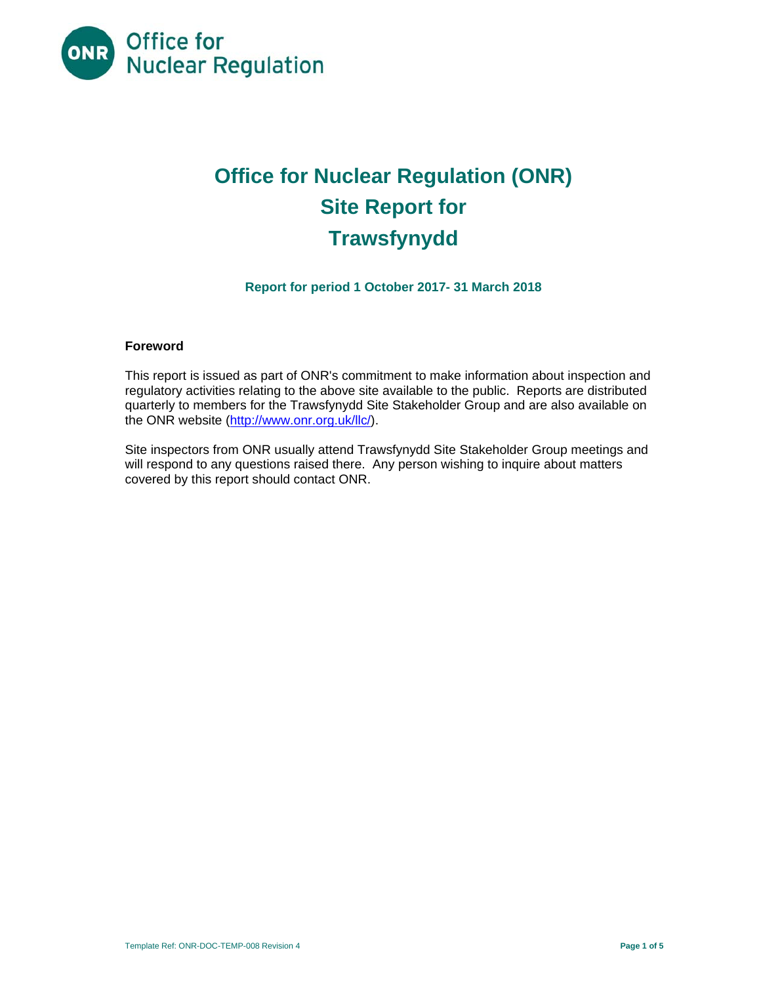

# **Office for Nuclear Regulation (ONR) Site Report for Trawsfynydd**

# **Report for period 1 October 2017- 31 March 2018**

#### **Foreword**

This report is issued as part of ONR's commitment to make information about inspection and regulatory activities relating to the above site available to the public. Reports are distributed quarterly to members for the Trawsfynydd Site Stakeholder Group and are also available on the ONR website (http://www.onr.org.uk/llc/).

Site inspectors from ONR usually attend Trawsfynydd Site Stakeholder Group meetings and will respond to any questions raised there. Any person wishing to inquire about matters covered by this report should contact ONR.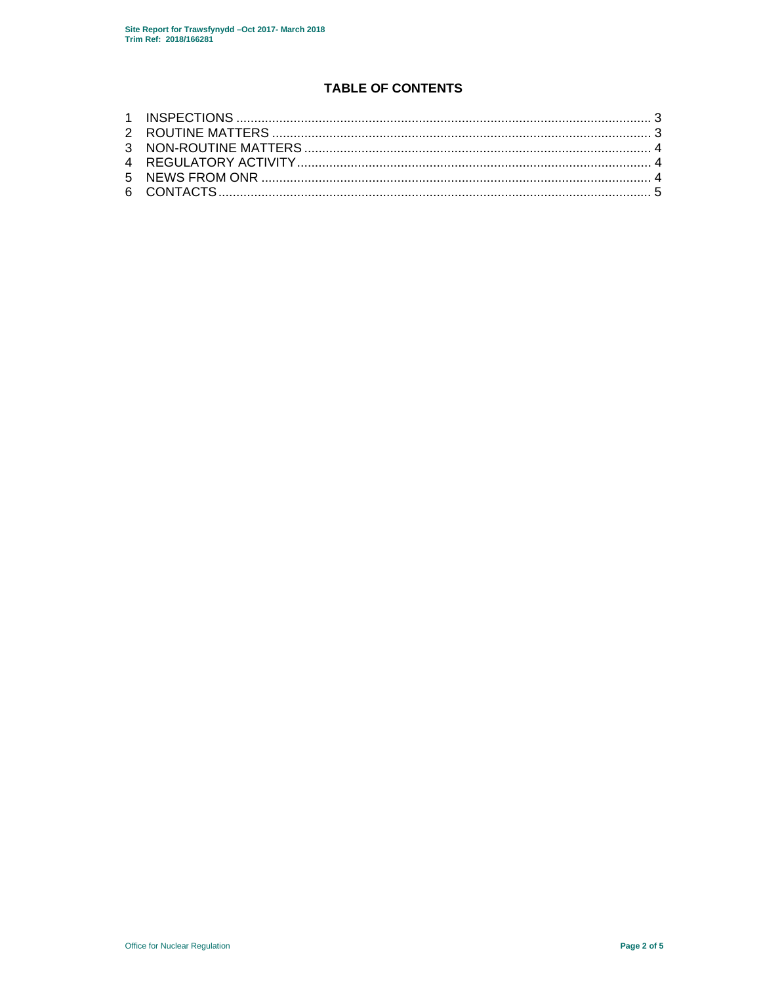# **TABLE OF CONTENTS**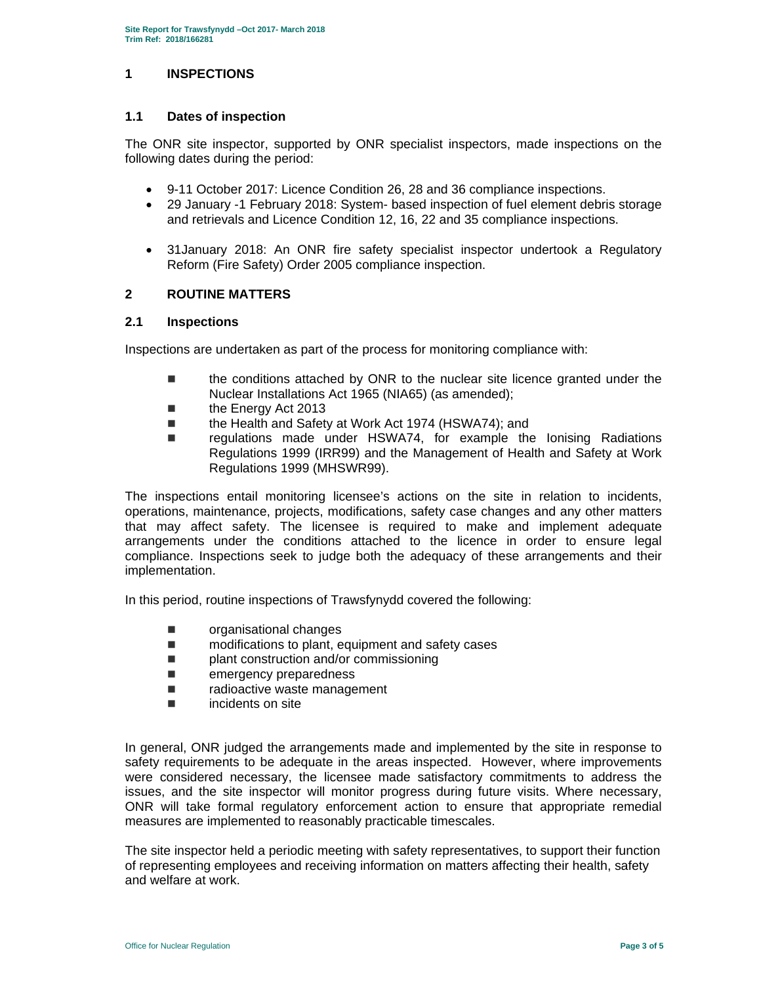# **1 INSPECTIONS**

### **1.1 Dates of inspection**

The ONR site inspector, supported by ONR specialist inspectors, made inspections on the following dates during the period:

- 9-11 October 2017: Licence Condition 26, 28 and 36 compliance inspections.
- 29 January -1 February 2018: System- based inspection of fuel element debris storage and retrievals and Licence Condition 12, 16, 22 and 35 compliance inspections.
- 31January 2018: An ONR fire safety specialist inspector undertook a Regulatory Reform (Fire Safety) Order 2005 compliance inspection.

#### **2 ROUTINE MATTERS**

#### **2.1 Inspections**

Inspections are undertaken as part of the process for monitoring compliance with:

- the conditions attached by ONR to the nuclear site licence granted under the Nuclear Installations Act 1965 (NIA65) (as amended);
- the Energy Act 2013
- the Health and Safety at Work Act 1974 (HSWA74); and
- regulations made under HSWA74, for example the Ionising Radiations Regulations 1999 (IRR99) and the Management of Health and Safety at Work Regulations 1999 (MHSWR99).

The inspections entail monitoring licensee's actions on the site in relation to incidents, operations, maintenance, projects, modifications, safety case changes and any other matters that may affect safety. The licensee is required to make and implement adequate arrangements under the conditions attached to the licence in order to ensure legal compliance. Inspections seek to judge both the adequacy of these arrangements and their implementation.

In this period, routine inspections of Trawsfynydd covered the following:

- **n** organisational changes
- modifications to plant, equipment and safety cases
- **plant construction and/or commissioning**
- **E** emergency preparedness
- **Example 2** radioactive waste management
- incidents on site

In general, ONR judged the arrangements made and implemented by the site in response to safety requirements to be adequate in the areas inspected. However, where improvements were considered necessary, the licensee made satisfactory commitments to address the issues, and the site inspector will monitor progress during future visits. Where necessary, ONR will take formal regulatory enforcement action to ensure that appropriate remedial measures are implemented to reasonably practicable timescales.

The site inspector held a periodic meeting with safety representatives, to support their function of representing employees and receiving information on matters affecting their health, safety and welfare at work.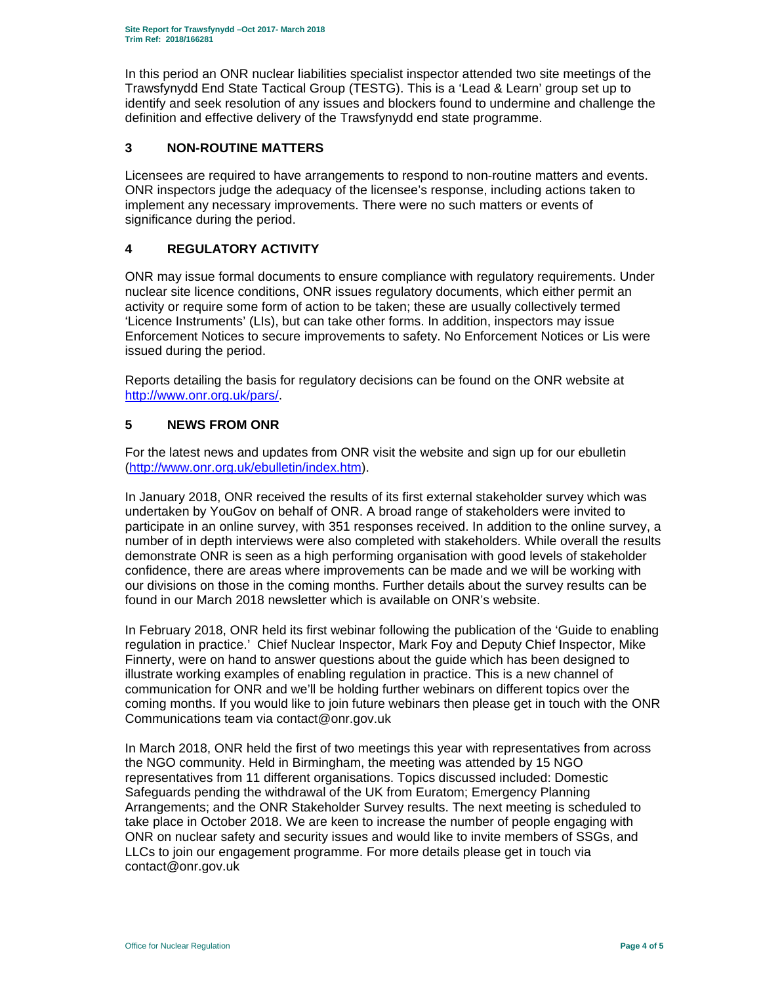In this period an ONR nuclear liabilities specialist inspector attended two site meetings of the Trawsfynydd End State Tactical Group (TESTG). This is a 'Lead & Learn' group set up to identify and seek resolution of any issues and blockers found to undermine and challenge the definition and effective delivery of the Trawsfynydd end state programme.

# **3 NON-ROUTINE MATTERS**

Licensees are required to have arrangements to respond to non-routine matters and events. ONR inspectors judge the adequacy of the licensee's response, including actions taken to implement any necessary improvements. There were no such matters or events of significance during the period.

# **4 REGULATORY ACTIVITY**

ONR may issue formal documents to ensure compliance with regulatory requirements. Under nuclear site licence conditions, ONR issues regulatory documents, which either permit an activity or require some form of action to be taken; these are usually collectively termed 'Licence Instruments' (LIs), but can take other forms. In addition, inspectors may issue Enforcement Notices to secure improvements to safety. No Enforcement Notices or Lis were issued during the period.

Reports detailing the basis for regulatory decisions can be found on the ONR website at http://www.onr.org.uk/pars/.

# **5 NEWS FROM ONR**

For the latest news and updates from ONR visit the website and sign up for our ebulletin (http://www.onr.org.uk/ebulletin/index.htm).

In January 2018, ONR received the results of its first external stakeholder survey which was undertaken by YouGov on behalf of ONR. A broad range of stakeholders were invited to participate in an online survey, with 351 responses received. In addition to the online survey, a number of in depth interviews were also completed with stakeholders. While overall the results demonstrate ONR is seen as a high performing organisation with good levels of stakeholder confidence, there are areas where improvements can be made and we will be working with our divisions on those in the coming months. Further details about the survey results can be found in our March 2018 newsletter which is available on ONR's website.

In February 2018, ONR held its first webinar following the publication of the 'Guide to enabling regulation in practice.' Chief Nuclear Inspector, Mark Foy and Deputy Chief Inspector, Mike Finnerty, were on hand to answer questions about the guide which has been designed to illustrate working examples of enabling regulation in practice. This is a new channel of communication for ONR and we'll be holding further webinars on different topics over the coming months. If you would like to join future webinars then please get in touch with the ONR Communications team via contact@onr.gov.uk

In March 2018, ONR held the first of two meetings this year with representatives from across the NGO community. Held in Birmingham, the meeting was attended by 15 NGO representatives from 11 different organisations. Topics discussed included: Domestic Safeguards pending the withdrawal of the UK from Euratom; Emergency Planning Arrangements; and the ONR Stakeholder Survey results. The next meeting is scheduled to take place in October 2018. We are keen to increase the number of people engaging with ONR on nuclear safety and security issues and would like to invite members of SSGs, and LLCs to join our engagement programme. For more details please get in touch via contact@onr.gov.uk